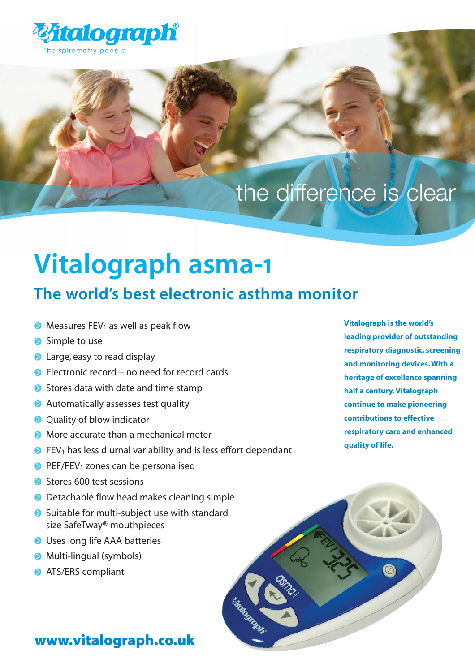

## the difference is clear

# **Vitalograph asma-1**

### **The world's best electronic asthma monitor**

- $\bullet$  Measures FEV<sub>1</sub> as well as peak flow
- Simple to use
- **a** Large, easy to read display
- Electronic record no need for record cards
- Stores data with date and time stamp
- **Automatically assesses test quality**
- **O** Ouality of blow indicator
- **More accurate than a mechanical meter**
- $\bullet$  FEV<sub>1</sub> has less diurnal variability and is less effort dependant
- $\bullet$  PEF/FEV<sub>1</sub> zones can be personalised
- Stores 600 test sessions
- **D** Detachable flow head makes cleaning simple
- Suitable for multi-subject use with standard size SafeTway® mouthpieces
- **O** Uses long life AAA batteries
- **Multi-lingual (symbols)**
- **ATS/ERS compliant**

**Vitalograph is the world's leading provider of outstanding respiratory diagnostic, screening and monitoring devices. With a heritage of excellence spanning half a century, Vitalograph continue to make pioneering contributions to effective respiratory care and enhanced quality of life.**

#### www.vitalograph.co.uk